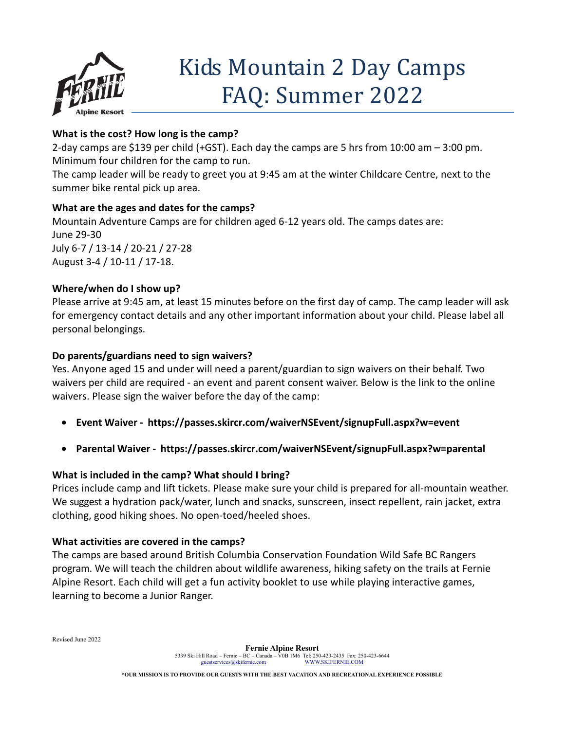

# Kids Mountain 2 Day Camps FAQ: Summer 2022

# **What is the cost? How long is the camp?**

2-day camps are \$139 per child (+GST). Each day the camps are 5 hrs from 10:00 am – 3:00 pm. Minimum four children for the camp to run.

The camp leader will be ready to greet you at 9:45 am at the winter Childcare Centre, next to the summer bike rental pick up area.

# **What are the ages and dates for the camps?**

Mountain Adventure Camps are for children aged 6-12 years old. The camps dates are: June 29-30 July 6-7 / 13-14 / 20-21 / 27-28 August 3-4 / 10-11 / 17-18.

### **Where/when do I show up?**

Please arrive at 9:45 am, at least 15 minutes before on the first day of camp. The camp leader will ask for emergency contact details and any other important information about your child. Please label all personal belongings.

### **Do parents/guardians need to sign waivers?**

Yes. Anyone aged 15 and under will need a parent/guardian to sign waivers on their behalf. Two waivers per child are required [- an event and parent consent waiver. Below is](https://passes.skircr.com/waivers-special/signup.aspx?_ga=2.149108022.1071913770.1623705167-689644101.1599670144) the link to the online [waivers. Please sign](https://passes.skircr.com/waivers-special/signup.aspx?_ga=2.149108022.1071913770.1623705167-689644101.1599670144) the waiver before the day of the camp:

- **Event Waiver https://passes.skircr.com/waiverNSEvent/signupFull.aspx?w=event**
- **Parental Waiver https://passes.skircr.com/waiverNSEvent/signupFull.aspx?w=parental**

# **What is included in the camp? What should I bring?**

Prices include camp and lift tickets. Please make sure your child is prepared for all-mountain weather. We suggest a hydration pack/water, lunch and snacks, sunscreen, insect repellent, rain jacket, extra clothing, good hiking shoes. No open-toed/heeled shoes.

# **What activities are covered in the camps?**

The camps are based around British Columbia Conservation Foundation Wild Safe BC Rangers program. We will teach the children about wildlife awareness, hiking safety on the trails at Fernie Alpine Resort. Each child will get a fun activity booklet to use while playing interactive games, learning to become a Junior Ranger.

Revised June 2022

**"OUR MISSION IS TO PROVIDE OUR GUESTS WITH THE BEST VACATION AND RECREATIONAL EXPERIENCE POSSIBLE**